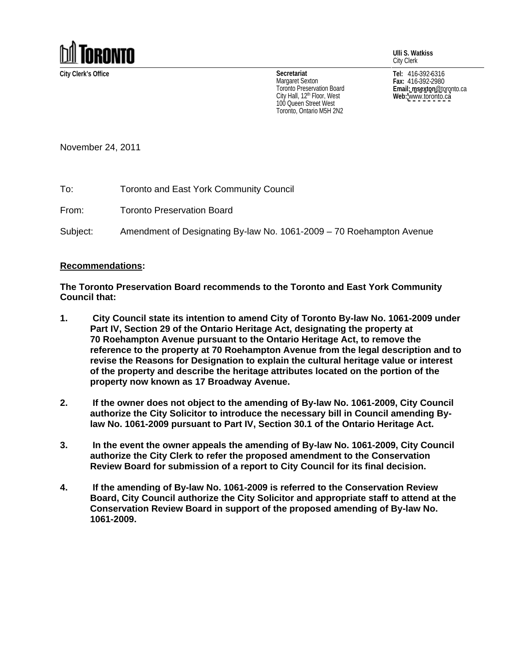

**Ulli S. Watkiss** City Clerk

City Hall, 12<sup>th</sup> Floor, West **Web:** www.toronto.ca 100 Queen Street West Toronto, Ontario M5H 2N2

**City Clerk's Office Tel:** 416-392-6316 **Fax:** 416-392-2980 **Email: msexton**@toronto.ca **Web:** [www.toronto.ca](http://www.toronto.ca) **Secretariat** Margaret Sexton  $_{max:416-392-2980}$ I oronto Preservation Board **Example 2018 Email: msexton** @toronto.ca

November 24, 2011

To: Toronto and East York Community Council

From: Toronto Preservation Board

Subject: Amendment of Designating By-law No. 1061-2009 – 70 Roehampton Avenue

## **Recommendations:**

**The Toronto Preservation Board recommends to the Toronto and East York Community Council that:**

- **1. City Council state its intention to amend City of Toronto By-law No. 1061-2009 under Part IV, Section 29 of the Ontario Heritage Act, designating the property at 70 Roehampton Avenue pursuant to the Ontario Heritage Act, to remove the reference to the property at 70 Roehampton Avenue from the legal description and to revise the Reasons for Designation to explain the cultural heritage value or interest of the property and describe the heritage attributes located on the portion of the property now known as 17 Broadway Avenue.**
- **2. If the owner does not object to the amending of By-law No. 1061-2009, City Council authorize the City Solicitor to introduce the necessary bill in Council amending Bylaw No. 1061-2009 pursuant to Part IV, Section 30.1 of the Ontario Heritage Act.**
- **3. In the event the owner appeals the amending of By-law No. 1061-2009, City Council authorize the City Clerk to refer the proposed amendment to the Conservation Review Board for submission of a report to City Council for its final decision.**
- **4. If the amending of By-law No. 1061-2009 is referred to the Conservation Review Board, City Council authorize the City Solicitor and appropriate staff to attend at the Conservation Review Board in support of the proposed amending of By-law No. 1061-2009.**